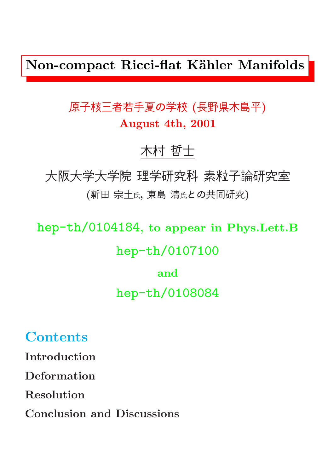Non-compact Ricci-flat Kähler Manifolds

### 原子核三者若手夏の学校 (長野県木島平) August 4th, 2001

### 木村 哲士

大阪大学大学院 理学研究科 素粒子論研究室 (新田 宗土氏, 東島 清氏との共同研究)

hep-th/0104184, to appear in Phys.Lett.B hep-th/0107100 and hep-th/0108084

**Contents** 

Introduction

Deformation

Resolution

Conclusion and Discussions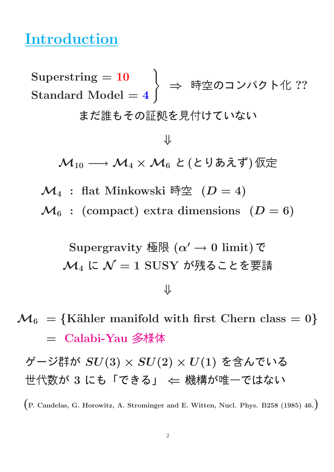### Introduction

 $\text{Superstring} = 10$  $\mathrm{Standard\ Model} = 4$ ) ⇒ 時空のコンパクト化 ?? まだ誰もその証拠を見付けていない ⇓  $\mathcal{M}_{10} \longrightarrow \mathcal{M}_4 \times \mathcal{M}_6$  と(とりあえず)仮定  $\mathcal{M}_4$  : flat Minkowski 時空 ( $D=4$ )  $\mathcal{M}_6$  : (compact) extra dimensions  $(D = 6)$ Supergravity 極限 ( $\alpha' \rightarrow 0$  limit)で  $\mathcal{M}_4$  に  $\mathcal{N}=1$  SUSY が残ることを要請 ⇓

 $\mathcal{M}_6$  = {Kähler manifold with first Chern class = 0} = Calabi-Yau 多様体

ゲージ群が SU(3) × SU(2) × U(1) を含んでいる 世代数が 3 にも「できる」 ← 機構が唯一ではない

(P. Candelas, G. Horowitz, A. Strominger and E. Witten, Nucl. Phys. B258 (1985) 46.)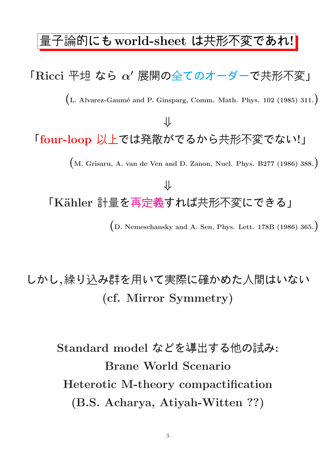#### 量子論的にも world-sheet は共形不変であれ!

### $\Gamma$ Ricci 平坦 なら  $\alpha'$  展開の全てのオーダーで共形不変」

 $(L.$  Alvarez-Gaumé and P. Ginsparg, Comm. Math. Phys. 102 (1985) 311.)

# 「four-loop 以上では発散がでるから共形不変でない!」

⇓

(M. Grisaru, A. van de Ven and D. Zanon, Nucl. Phys. B277 (1986) 388.)

## ⇓ 「Kähler 計量を再定義すれば共形不変にできる」 (D. Nemeschansky and A. Sen, Phys. Lett. 178B (1986) 365.)

### しかし,繰り込み群を用いて実際に確かめた人間はいない (cf. Mirror Symmetry)

Standard model などを導出する他の試み: Brane World Scenario Heterotic M-theory compactification (B.S. Acharya, Atiyah-Witten ??)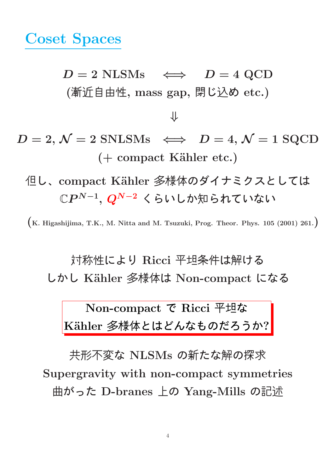### Coset Spaces

 $D = 2$  NLSMs  $\iff$   $D = 4$  QCD (漸近自由性, mass gap, 閉じ込め etc.)

⇓

- $D = 2, \mathcal{N} = 2$  SNLSMs  $\iff D = 4, \mathcal{N} = 1$  SQCD  $( +$  compact Kähler etc.)
	- 但し、compact Kähler 多様体のダイナミクスとしては  $\mathbb{C}P^{N-1},\,Q^{N-2}\,$  くらいしか知られていない

 $(K. Higashijima, T.K., M. Nitta and M. Tsuzuki, Prog. Theor. Phys. 105 (2001) 261.)$ 

対称性により Ricci 平坦条件は解ける しかし K¨ahler 多様体は Non-compact になる

Non-compact で Ricci 平坦な Kähler 多様体とはどんなものだろうか?

共形不変な NLSMs の新たな解の探求 Supergravity with non-compact symmetries 曲がった D-branes 上の Yang-Mills の記述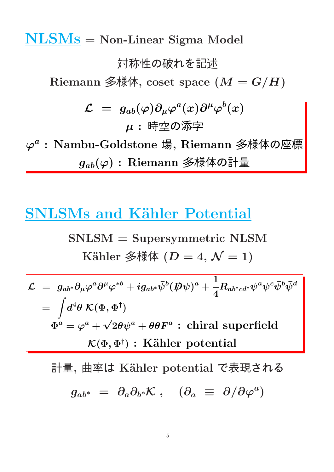NLSMs = Non-Linear Sigma Model

#### 対称性の破れを記述

Riemann 多様体, coset space  $(M = G/H)$ 

$$
\mathcal{L} = g_{ab}(\varphi)\partial_{\mu}\varphi^{a}(x)\partial^{\mu}\varphi^{b}(x)
$$
\n
$$
\mu : \mathbb{F}\ncong \mathcal{O}\ncong \mathbb{F}
$$
\n
$$
\varphi^{a} : \text{Nambu-Goldstone } \nexists, \text{ Riemann } \mathscr{F}\ncong \nexists
$$
\n
$$
g_{ab}(\varphi) : \text{Riemann } \mathscr{F}\ncong \nexists
$$

### **SNLSMs and Kähler Potential**

$$
SNLSM = Supersymmetric NLSM
$$
  
\nKähler  $\AA$ 

$$
\mathcal{L} = g_{ab^*} \partial_\mu \varphi^a \partial^\mu \varphi^{*b} + i g_{ab^*} \bar{\psi}^b (\not\!\!D \psi)^a + \frac{1}{4} R_{ab^*cd^*} \psi^a \psi^c \bar{\psi}^b \bar{\psi}^d
$$
\n
$$
= \int d^4 \theta \, \mathcal{K}(\Phi, \Phi^\dagger)
$$
\n
$$
\Phi^a = \varphi^a + \sqrt{2} \theta \psi^a + \theta \theta F^a : \text{chiral superfield}
$$
\n
$$
\mathcal{K}(\Phi, \Phi^\dagger) : \text{Kähler potential}
$$

計量, 曲率は Kähler potential で表現される  $g_{ab^*} \; = \; \partial_a \partial_{b^*} \mathcal{K} \; , \quad (\partial_a \; \equiv \; \partial / \partial \varphi^a)$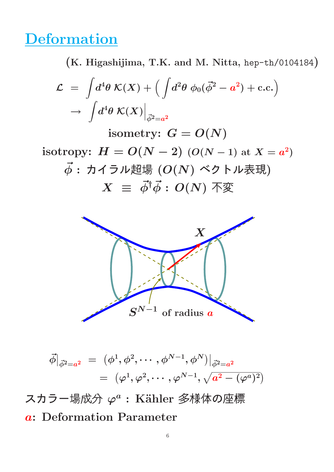### **Deformation**

(K. Higashijima, T.K. and M. Nitta, hep-th/0104184)

$$
\mathcal{L} = \int d^4 \theta \, \mathcal{K}(X) + \left( \int d^2 \theta \, \phi_0 (\vec{\phi}^2 - a^2) + \text{c.c.} \right)
$$

$$
\rightarrow \int d^4 \theta \, \mathcal{K}(X) \Big|_{\vec{\phi}^2 = a^2}
$$

isometry:  $G = O(N)$ 

isotropy:  $H = O(N-2)$  ( $O(N-1)$  at  $X = a^2$ )  $\vec{\phi}$ : カイラル超場  $(O(N)$ ベクトル表現)  $X \equiv \vec{\phi}^{\dagger} \vec{\phi} : O(N)$  不変



$$
\vec{\phi}|_{\vec{\phi}^2 = a^2} = (\phi^1, \phi^2, \cdots, \phi^{N-1}, \phi^N)|_{\vec{\phi}^2 = a^2}
$$
  
=  $(\varphi^1, \varphi^2, \cdots, \varphi^{N-1}, \sqrt{a^2 - (\varphi^a)^2})$ 

スカラー場成分 $\varphi^a$ : Kähler 多様体の座標 a: Deformation Parameter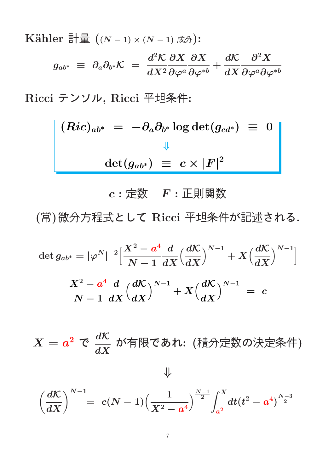Kähler

\n
$$
\begin{aligned}\n\overline{\mathbb{H}} &\equiv \left( (N-1) \times (N-1) \, \nabla \phi \right) \\
&\colon \\
g_{ab^*} &\equiv \partial_a \partial_{b^*} \mathcal{K} = \frac{d^2 \mathcal{K}}{d X^2} \frac{\partial X}{\partial \varphi^a} \frac{\partial X}{\partial \varphi^{*b}} + \frac{d \mathcal{K}}{d X} \frac{\partial^2 X}{\partial \varphi^a \partial \varphi^{*b}}\n\end{aligned}
$$

Ricci テンソル, Ricci 平坦条件:

$$
(Ric)_{ab^*} = -\partial_a \partial_{b^*} \log \det(g_{cd^*}) \equiv 0
$$
  

$$
\downarrow^{\downarrow}
$$
  

$$
\det(g_{ab^*}) \equiv c \times |F|^2
$$

#### $c:$  定数  $F:$  正則関数

(常)微分方程式として Ricci 平坦条件が記述される.

$$
\det g_{ab^*} = |\varphi^N|^{-2} \Big[ \frac{X^2 - a^4}{N - 1} \frac{d}{dX} \Big( \frac{d\mathcal{K}}{dX} \Big)^{N-1} + X \Big( \frac{d\mathcal{K}}{dX} \Big)^{N-1} \Big]
$$
  

$$
\frac{X^2 - a^4}{N - 1} \frac{d}{dX} \Big( \frac{d\mathcal{K}}{dX} \Big)^{N-1} + X \Big( \frac{d\mathcal{K}}{dX} \Big)^{N-1} = c
$$

 $X=a^2\,\mathfrak{C}\,\,\frac{d\mathcal{K}}{dX}$  $dX$ が有限であれ: (積分定数の決定条件)

⇓

$$
\left(\frac{d\mathcal{K}}{dX}\right)^{N-1} = \left|c(N-1)\left(\frac{1}{X^2-a^4}\right)^{\frac{N-1}{2}}\int_{a^2}^X dt (t^2-a^4)^{\frac{N-3}{2}}
$$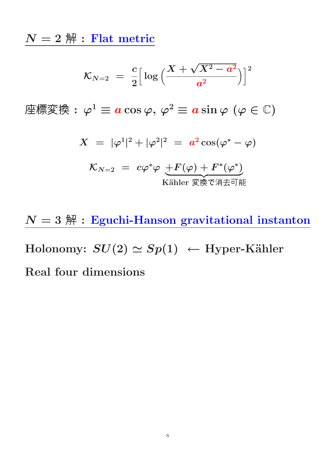$N=2$   $\mbox{\ss }\nolimits$  : Flat metric

$$
{\cal K}_{N=2}~=~\frac{c}{2}\Big[\log\Big(\frac{X+\sqrt{X^2-a^2}}{a^2}\Big)\Big]^2
$$

座標変換 :  $\varphi^1 \equiv a \cos \varphi, \varphi^2 \equiv a \sin \varphi$  ( $\varphi \in \mathbb{C}$ )

$$
X = |\varphi^1|^2 + |\varphi^2|^2 = a^2 \cos(\varphi^* - \varphi)
$$

$$
\mathcal{K}_{N=2} = c\varphi^*\varphi \underbrace{+F(\varphi)+F^*(\varphi^*)}_{\text{Kähler} \ \overline{\mathcal{F}}\overline{\mathcal{F}}\overline{\mathcal{F}}\overline{\mathcal{F}}\overline{\mathcal{F}}\overline{\mathcal{F}}}
$$

 $N=3$   $\hat{\texttt{M}}$  : Eguchi-Hanson gravitational instanton

Holonomy:  $SU(2) \simeq Sp(1) \leftarrow$  Hyper-Kähler

Real four dimensions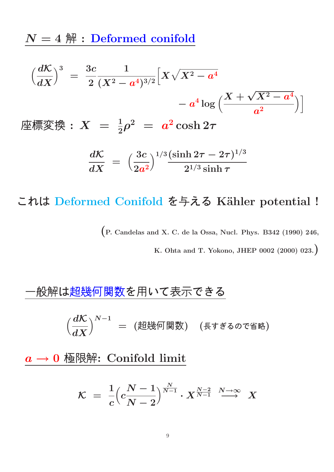$N = 4$   $\mathbb{H}$  : Deformed conifold

$$
\left(\frac{dK}{dX}\right)^3 = \frac{3c}{2} \frac{1}{(X^2 - a^4)^{3/2}} \Big[ X\sqrt{X^2 - a^4} - a^4 \log \Big( \frac{X + \sqrt{X^2 - a^4}}{a^2} \Big) \Big]
$$
\n
$$
\boxed{\text{#} \text{#} \text{#} \text{#} \text{ } : X = \frac{1}{2}\rho^2 = a^2 \cosh 2\tau}
$$
\n
$$
\frac{dK}{dX} = \left(\frac{3c}{2a^2}\right)^{1/3} \frac{(\sinh 2\tau - 2\tau)^{1/3}}{2^{1/3} \sinh \tau}
$$

#### これは Deformed Conifold を与える Kähler potential !

(P. Candelas and X. C. de la Ossa, Nucl. Phys. B342 (1990) 246,

K. Ohta and T. Yokono, JHEP 0002 (2000) 023.)

#### -般解は超幾何関数を用いて表示できる

 $\int d\mathcal{K}$  $dX$  $\big)^{N-1}$   $=$   $(\mathrm{^}_{\mathrm{K}}\otimes\mathrm{^}_{\mathrm{K}}\otimes\mathrm{^}_{\mathrm{K}})$   $(\mathrm{^}_{\mathrm{K}}\circ\mathrm{^}_{\mathrm{K}}\circ\mathrm{^}_{\mathrm{K}}\circ\mathrm{^}_{\mathrm{K}})$ 

 $a \rightarrow 0$  極限解: Conifold limit

$$
\mathcal{K} = \frac{1}{c} \left( c \frac{N-1}{N-2} \right)^{\frac{N}{N-1}} \cdot X^{\frac{N-2}{N-1}} \stackrel{N \to \infty}{\longrightarrow} X
$$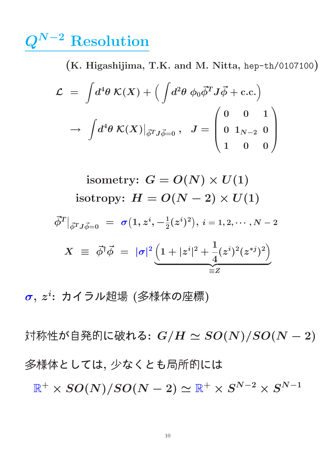## $\mathbb{Q}^{N-2}$  Resolution

(K. Higashijima, T.K. and M. Nitta, hep-th/0107100)

$$
\mathcal{L} = \int d^4 \theta \; \mathcal{K}(X) + \Big( \int d^2 \theta \; \phi_0 \vec{\phi}^T J \vec{\phi} + \text{c.c.} \Big) \rightarrow \int d^4 \theta \; \mathcal{K}(X) \big|_{\vec{\phi}^T J \vec{\phi} = 0} \; , \; \; J = \begin{pmatrix} 0 & 0 & 1 \\ 0 & 1_{N-2} & 0 \\ 1 & 0 & 0 \end{pmatrix}
$$

isometry: 
$$
G = O(N) \times U(1)
$$
  
\nisotropy:  $H = O(N - 2) \times U(1)$   
\n
$$
\vec{\phi}^T|_{\vec{\phi}^T J \vec{\phi} = 0} = \sigma(1, z^i, -\frac{1}{2}(z^i)^2), i = 1, 2, \dots, N - 2
$$
\n
$$
X = \vec{\phi}^{\dagger} \vec{\phi} = |\sigma|^2 \underbrace{\left(1 + |z^i|^2 + \frac{1}{4}(z^i)^2 (z^{*j})^2\right)}_{\equiv Z}
$$

 $\bm{\sigma},\,z^i$ : カイラル超場 (多様体の座標)

対称性が自発的に破れる:  $G/H \simeq SO(N)/SO(N-2)$ 多様体としては, 少なくとも局所的には  $\mathbb{R}^+ \times SO(N)/SO(N-2) \simeq \mathbb{R}^+ \times S^{N-2} \times S^{N-1}$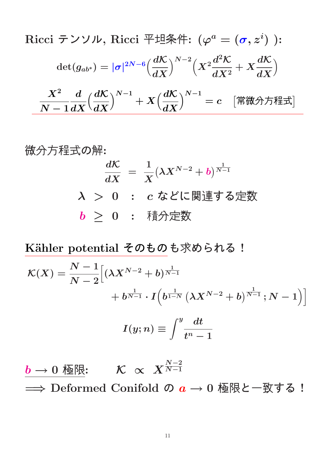Ricci テンリル, Ricci 玊地条作: 
$$
(\varphi^a = (\sigma, z^i) :
$$

$$
det(g_{ab^*}) = |\sigma|^{2N-6} \left(\frac{d\mathcal{K}}{dX}\right)^{N-2} \left(X^2 \frac{d^2 \mathcal{K}}{dX^2} + X \frac{d\mathcal{K}}{dX}\right)
$$

$$
\frac{X^2}{N-1} \frac{d}{dX} \left(\frac{d\mathcal{K}}{dX}\right)^{N-1} + X \left(\frac{d\mathcal{K}}{dX}\right)^{N-1} = c \quad [\frac{4\pi}{N} \frac{d\mathcal{K}}{dX} + \frac{4\pi}{N} \frac{d\mathcal{K}}{dX}]
$$

微分方経式の解:  
\n
$$
\frac{d\mathcal{K}}{dX} = \frac{1}{X} (\lambda X^{N-2} + b)^{\frac{1}{N-1}}
$$
\n
$$
\lambda > 0 : c \& \text{に関連する定数}
$$
\n
$$
b \geq 0 : \text{ 镦分定数}
$$

Kähler potential そのものも求められる!

$$
\mathcal{K}(X) = \frac{N-1}{N-2} \Big[ (\lambda X^{N-2} + b)^{\frac{1}{N-1}} \newline + b^{\frac{1}{N-1}} \cdot I \Big( b^{\frac{1}{1-N}} \left( \lambda X^{N-2} + b \right)^{\frac{1}{N-1}}; N-1 \Big) \Big]
$$

$$
I(y; n) \equiv \int^y \frac{dt}{t^n - 1}
$$

 $\frac{b\rightarrow 0$  極限:  $\quad \mathcal{K}\ \propto\ X^{N-2\over N-1}$  $N-1$ ⇒ Deformed Conifold の  $a \rightarrow 0$  極限と一致する!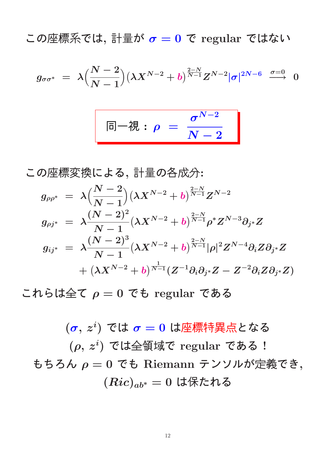この座標系では, 計量が  $\sigma = 0$  で regular ではない

$$
g_{\sigma\sigma^*} \;=\; \lambda \Bigl(\frac{N-2}{N-1}\Bigr) \bigl(\lambda X^{N-2} + b\bigr)^{\frac{2-N}{N-1}} Z^{N-2} |\sigma|^{2N-6} \;\;\stackrel{\sigma=0}{\longrightarrow}\;\;0
$$

$$
\boxed{\quad \ \ \Box \! -\mathcal{R} : \rho \; = \; \frac{\sigma^{N-2}}{N-2} \quad \ \ \, } \quad \ \ \, }
$$

この座標変換による, 計量の各成分:

$$
\begin{array}{lcl} g_{\rho\rho^*} & = & \displaystyle \lambda \Big( \frac{N-2}{N-1} \Big) \big( \lambda X^{N-2} + b \big)^{\frac{2-N}{N-1}} Z^{N-2} \\[2mm] g_{\rho j^*} & = & \displaystyle \lambda \frac{(N-2)^2}{N-1} \big( \lambda X^{N-2} + b \big)^{\frac{2-N}{N-1}} \rho^* Z^{N-3} \partial_{j^*} Z \\[2mm] g_{ij^*} & = & \displaystyle \lambda \frac{(N-2)^3}{N-1} \big( \lambda X^{N-2} + b \big)^{\frac{2-N}{N-1}} |\rho|^2 Z^{N-4} \partial_i Z \partial_{j^*} Z \\[2mm] & + \big( \lambda X^{N-2} + b \big)^{\frac{1}{N-1}} (Z^{-1} \partial_i \partial_{j^*} Z - Z^{-2} \partial_i Z \partial_{j^*} Z) \end{array}
$$

これらは全て  $\rho = 0$  でも regular である

 $(\boldsymbol{\sigma},\,z^i)$  では  $\boldsymbol{\sigma} = \boldsymbol{0}$  は座標特異点となる  $(\rho, z^i)$  では全領域で regular である! もちろん  $\rho = 0$  でも Riemann テンソルが定義でき,  $(Ric)_{ab^*} = 0$  は保たれる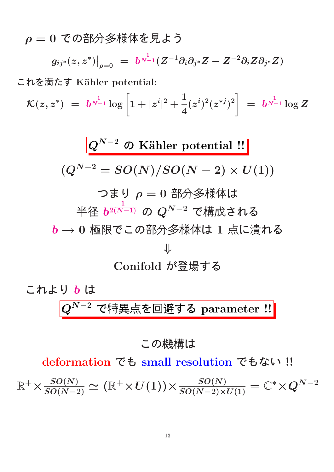$\rho = 0$ での部分多様体を見よう

$$
\left.g_{ij^*}(z,z^*)\right|_{\rho=0} \; = \; b^{\frac{1}{N-1}}(Z^{-1}\partial_i\partial_{j^*}Z - Z^{-2}\partial_iZ\partial_{j^*}Z)
$$

これを満たす Kähler potential:

 $\mathcal{K}(z,z^*)\;=\;b^{\frac{1}{N-1}}\log\left[1+|z^i\right]$  $|^{2}$  + 1 4  $(z^{i})^{2}(z^{*j})^{2}$  $= \; b^{\frac{1}{N-1}} \log Z$ 

$$
Q^{N-2} \n O Kähler potential!!
$$
\n
$$
(Q^{N-2} = SO(N)/SO(N-2) \times U(1))
$$
\n  
\n \n 7 \n 5 \n 9 = 0 \n 部分多様体は\n  
\n
$$
4 \times \frac{1}{b^{2(N-1)}} \n O \n O^{N-2} \n C \n \n 1 \n \n \n 5 \n 0 \n 0 \n \n \n 0 \n 0 \n 0 \n 0 \n 0 \n 0 \n 0 \n 0 \n 0 \n 0 \n 0 \n 0 \n 0 \n 0 \n 0 \n 0 \n 0 \n 0 \n 0 \n 0 \n 0 \n 0 \n 0 \n 0 \n 0 \n 0 \n 0 \n 0 \n 0 \n 0 \n 0 \n 0 \n 0 \n 0 \n 0 \n 0 \n 0 \n 0 \n 0 \n 0 \n 0 \n 0 \n 0 \n 0 \n 0 \n 0 \n 0 \n 0 \n 0 \n 0 \n 0 \n 0 \n 0 \n 0 \n 0 \n 0 \n 0 \n 0 \n 0 \n 0 \n 0 \n 0 \n 0 \n 0 \n 0 \n 0 \n 0 \n 0 \n 0 \n 0 \n 0 \n 0 \n 0 \n 0 \n 0 \n 0 \n 0 \n 0 \n 0 \n 0 \n 0 \n 0 \n 0 \n 0 \n 0 \n 0 \n 0 \n 0 \n 0 \n 0 \n 0 \n 0 \n 0 \n 0
$$

**これより b は**\n
$$
Q^{N-2} \, \widehat{\mathbf{C}}
$$
特異点を回造する parameter **!!**

#### この機構は

deformation でも small resolution でもない !!

 $\mathbb{R}^+ \times \frac{SO(N)}{SO(N-2)} \simeq (\mathbb{R}^+ \times U(1)) \times \frac{SO(N)}{SO(N-2) \times U(1)} = \mathbb{C}^* \times Q^{N-2}$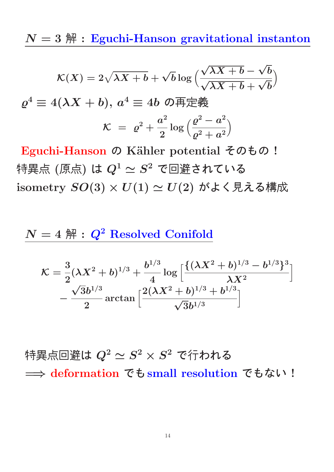$N=3$   $\mathbb{H}$  : Eguchi-Hanson gravitational instanton

$$
\mathcal{K}(X) = 2\sqrt{\lambda X + b} + \sqrt{b} \log \left( \frac{\sqrt{\lambda X + b} - \sqrt{b}}{\sqrt{\lambda X + b} + \sqrt{b}} \right)
$$

$$
\varrho^4 \equiv 4(\lambda X + b), \ a^4 \equiv 4b \ \mathcal{O} \overline{\mathfrak{P}} \overline{\mathfrak{P}} \frac{2}{3}
$$

$$
\mathcal{K} = \varrho^2 + \frac{a^2}{2} \log \left( \frac{\varrho^2 - a^2}{\varrho^2 + a^2} \right)
$$

Eguchi-Hanson の Kähler potential そのもの! 特異点 (原点) は  $Q^1 \simeq S^2$  で回避されている isometry  $SO(3) \times U(1) \simeq U(2)$  がよく見える構成

#### $N = 4$   $\mathbb{H}$  :  $Q^2$  Resolved Conifold

$$
\mathcal{K}=\frac{3}{2}(\lambda X^2+b)^{1/3}+\frac{b^{1/3}}{4}\log\Big[\frac{\{(\lambda X^2+b)^{1/3}-b^{1/3}\}^3}{\lambda X^2}\Big]\\-\frac{\sqrt{3}b^{1/3}}{2}\arctan\Big[\frac{2(\lambda X^2+b)^{1/3}+b^{1/3}}{\sqrt{3}b^{1/3}}\Big]
$$

特異点回避は  $Q^2 \simeq S^2 \times S^2$  で行われる => deformation でも small resolution でもない !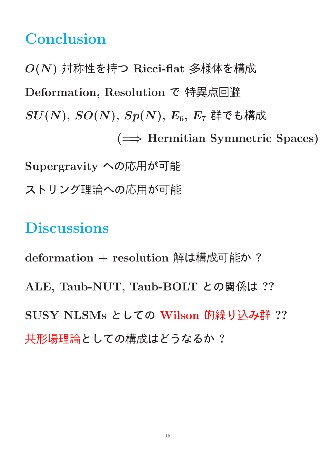# **Conclusion**

O(N) 対称性を持つ Ricci-flat 多様体を構成 Deformation, Resolution で 特異点回避  $SU(N),\,SO(N),\,Sp(N),\,E_6,\,E_7$ 群でも構成 (=⇒ Hermitian Symmetric Spaces) Supergravity への応用が可能 ストリング理論への応用が可能

### **Discussions**

deformation + resolution 解は構成可能か? ALE, Taub-NUT, Taub-BOLT との関係は ?? SUSY NLSMs としての Wilson 的繰り込み群 ?? 共形場理論としての構成はどうなるか ?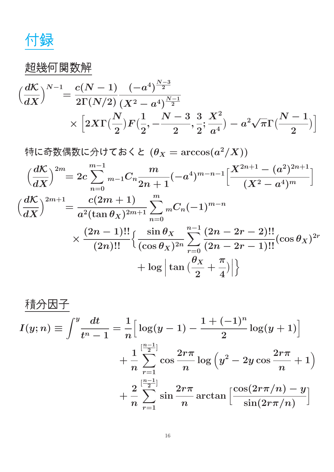付録

### 超幾何関数解

$$
\begin{split} \Big(\frac{d\mathcal{K}}{dX}\Big)^{N-1} & = \frac{c(N-1)}{2\Gamma(N/2)}\frac{(-a^4)^{\frac{N-3}{2}}}{(X^2-a^4)^{\frac{N-1}{2}}}\\ & \times \Big[2X\Gamma(\frac{N}{2})F(\frac{1}{2},-\frac{N-3}{2},\frac{3}{2};\frac{X^2}{a^4})-a^2\sqrt{\pi}\Gamma(\frac{N-1}{2})\Big] \end{split}
$$

特に奇数偶数に分けておくと  $(\theta_X=\arccos(a^2/X))$ 

$$
\left(\frac{dK}{dX}\right)^{2m} = 2c \sum_{n=0}^{m-1} {}_{m-1}C_n \frac{m}{2n+1}(-a^4)^{m-n-1} \left[\frac{X^{2n+1} - (a^2)^{2n+1}}{(X^2 - a^4)^m}\right]
$$

$$
\left(\frac{dK}{dX}\right)^{2m+1} = \frac{c(2m+1)}{a^2(\tan \theta_X)^{2m+1}} \sum_{n=0}^{m} {}_{m}C_n(-1)^{m-n}
$$

$$
\times \frac{(2n-1)!!}{(2n)!!} \left\{\frac{\sin \theta_X}{(\cos \theta_X)^{2n}} \sum_{r=0}^{n-1} \frac{(2n-2r-2)!!}{(2n-2r-1)!!} (\cos \theta_X)^{2r} + \log \left|\tan \left(\frac{\theta_X}{2} + \frac{\pi}{4}\right)\right|\right\}
$$

$$
\frac{\text{f}_{\text{I}}\text{f}_{\text{I}}\text{f}_{\text{II}}\text{f}_{\text{II}}}{I(y;n)} \equiv \int_{-\frac{u}{n}}^{y} \frac{dt}{t^n - 1} = \frac{1}{n} \Big[ \log(y-1) - \frac{1 + (-1)^n}{2} \log(y+1) \Big] \\
+ \frac{1}{n} \sum_{r=1}^{\left[\frac{n-1}{2}\right]} \cos \frac{2r\pi}{n} \log\left(y^2 - 2y\cos\frac{2r\pi}{n} + 1\right) \\
+ \frac{2}{n} \sum_{r=1}^{\left[\frac{n-1}{2}\right]} \sin \frac{2r\pi}{n} \arctan\left[\frac{\cos(2r\pi/n) - y}{\sin(2r\pi/n)}\right]
$$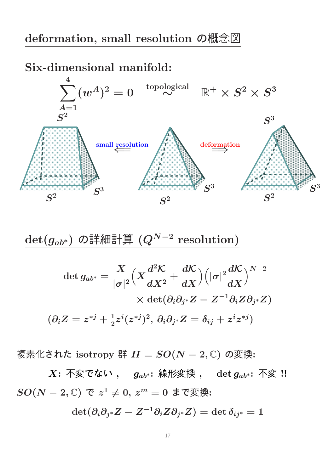#### deformation, small resolution の概念図

Six-dimensional manifold:



 $\det(g_{ab^*})$  の詳細計算  $(Q^{N-2}$  resolution)

$$
\begin{aligned} \det g_{ab^*} &= \frac{X}{|\sigma|^2}\Big(X\frac{d^2\mathcal{K}}{dX^2}+\frac{d\mathcal{K}}{dX}\Big)\Big(|\sigma|^2\frac{d\mathcal{K}}{dX}\Big)^{N-2}\\ &\times\det(\partial_i\partial_{j^*}Z-Z^{-1}\partial_iZ\partial_{j^*}Z)\\ (\partial_iZ&=z^{*j}+\tfrac{1}{2}z^i(z^{*j})^2,\,\partial_i\partial_{j^*}Z=\delta_{ij}+z^iz^{*j}) \end{aligned}
$$

複素化された isotropy <sup>群</sup> <sup>H</sup> <sup>=</sup> SO(<sup>N</sup> <sup>−</sup> <sup>2</sup>, <sup>C</sup>) の変換:

 $X:$  不変でない,  $g_{ab^*}:$  線形変換,  $\det g_{ab^*}:$  不変 !!  $SO(N-2,\mathbb{C})$  で  $z^1\neq 0,\,z^m=0$  まで変換:

$$
\det(\partial_i\partial_{j^*} Z - Z^{-1}\partial_i Z \partial_{j^*} Z) = \det \delta_{ij^*} = 1
$$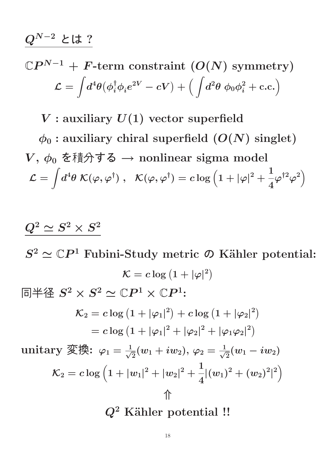#### $Q^{N-2}$  とは?

#### $\mathbb{C}P^{N-1} + F\text{-term constraint }(O(N) \text{ symmetry})$  $\mathcal{L} =$ Z  $d^4\theta \big(\phi_i^\dagger \phi_i e^{2V} - cV \big) + \Big( \int \! d^2\theta \; \phi_0 \phi_i^2 + {\rm c.c.} \Big)$

 $V:$  auxiliary  $U(1)$  vector superfield

 $\phi_0$ : auxiliary chiral superfield  $(O(N)$  singlet)  $V, \phi_0$  を積分する → nonlinear sigma model  $\mathcal{L} =$ Z  $d^4\theta\; {\cal K}(\varphi,\varphi^\dagger) \;,\;\; {\cal K}(\varphi,\varphi^\dagger)= c\log\left(1+|\varphi|^2+\right.$ 1 4  $\varphi^{\dag2}\varphi^2\Big)$ 

### $Q^2 \simeq S^2 \times S^2$

 $S^2 \simeq \mathbb{C}P^1$  Fubini-Study metric  $\mathcal{D}$  Kähler potential:  $\mathcal{K} = c \log \left( 1 + |\varphi|^2 \right)$ 同半径  $S^2 \times S^2 \simeq \mathbb{C}P^1 \times \mathbb{C}P^1$ :

$$
\mathcal{K}_2 = c \log \left( 1 + |\varphi_1|^2 \right) + c \log \left( 1 + |\varphi_2|^2 \right)
$$

$$
= c \log \left( 1 + |\varphi_1|^2 + |\varphi_2|^2 + |\varphi_1 \varphi_2|^2 \right)
$$

unitary 変換:  $\varphi_1 = \frac{1}{\sqrt{2}}$  $\frac{1}{2}(w_1+iw_2),\,\varphi_2=\frac{1}{\sqrt{2}}$  $_{\overline{2}}(w_1-iw_2)$  $\mathcal{K}_2 = c \log \left( 1 + |w_1|^2 + |w_2|^2 + \right.$ 1 4  $|(w_1)^2+(w_2)^2$ |  $2)$ ⇑

 $Q^2$  Kähler potential !!